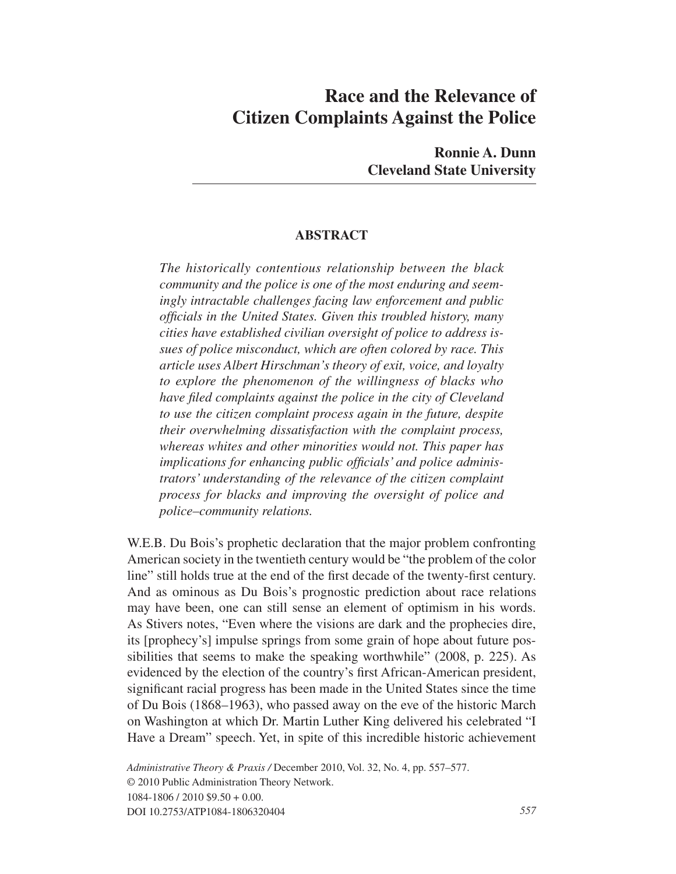# **Race and the Relevance of Citizen Complaints Against the Police**

**Ronnie A. Dunn Cleveland State University**

# **ABSTRACT**

*The historically contentious relationship between the black community and the police is one of the most enduring and seemingly intractable challenges facing law enforcement and public officials in the United States. Given this troubled history, many cities have established civilian oversight of police to address issues of police misconduct, which are often colored by race. This article uses Albert Hirschman's theory of exit, voice, and loyalty to explore the phenomenon of the willingness of blacks who have filed complaints against the police in the city of Cleveland to use the citizen complaint process again in the future, despite their overwhelming dissatisfaction with the complaint process, whereas whites and other minorities would not. This paper has implications for enhancing public officials' and police administrators' understanding of the relevance of the citizen complaint process for blacks and improving the oversight of police and police–community relations.*

W.E.B. Du Bois's prophetic declaration that the major problem confronting American society in the twentieth century would be "the problem of the color line" still holds true at the end of the first decade of the twenty-first century. And as ominous as Du Bois's prognostic prediction about race relations may have been, one can still sense an element of optimism in his words. As Stivers notes, "Even where the visions are dark and the prophecies dire, its [prophecy's] impulse springs from some grain of hope about future possibilities that seems to make the speaking worthwhile" (2008, p. 225). As evidenced by the election of the country's first African-American president, significant racial progress has been made in the United States since the time of Du Bois (1868–1963), who passed away on the eve of the historic March on Washington at which Dr. Martin Luther King delivered his celebrated "I Have a Dream" speech. Yet, in spite of this incredible historic achievement

*Administrative Theory & Praxis /* December 2010, Vol. 32, No. 4, pp. 557–577. © 2010 Public Administration Theory Network. 1084-1806 / 2010 \$9.50 + 0.00. DOI 10.2753/ATP1084-1806320404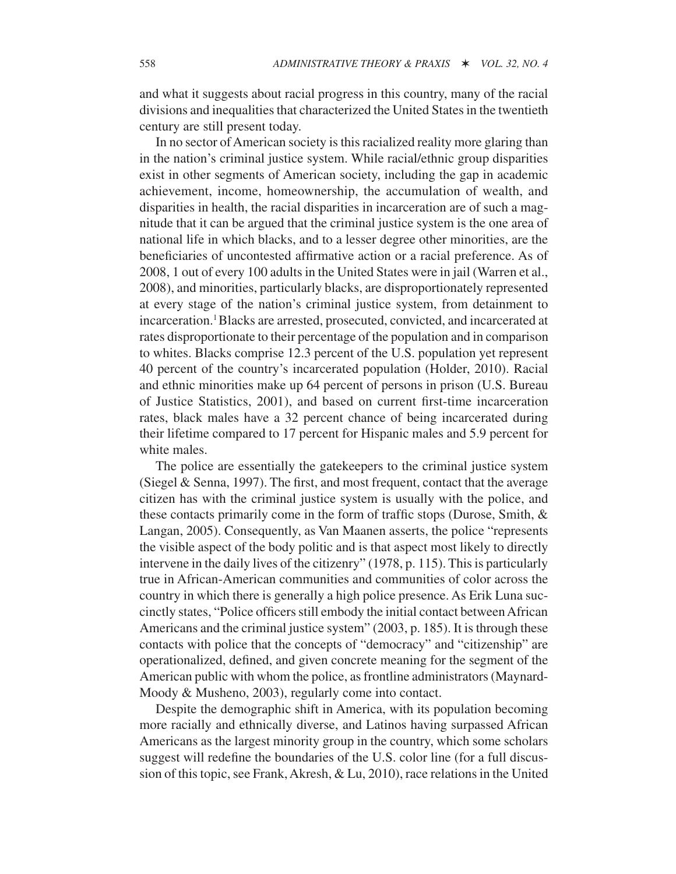and what it suggests about racial progress in this country, many of the racial divisions and inequalities that characterized the United States in the twentieth century are still present today.

In no sector of American society is this racialized reality more glaring than in the nation's criminal justice system. While racial/ethnic group disparities exist in other segments of American society, including the gap in academic achievement, income, homeownership, the accumulation of wealth, and disparities in health, the racial disparities in incarceration are of such a magnitude that it can be argued that the criminal justice system is the one area of national life in which blacks, and to a lesser degree other minorities, are the beneficiaries of uncontested affirmative action or a racial preference. As of 2008, 1 out of every 100 adults in the United States were in jail (Warren et al., 2008), and minorities, particularly blacks, are disproportionately represented at every stage of the nation's criminal justice system, from detainment to incarceration.1 Blacks are arrested, prosecuted, convicted, and incarcerated at rates disproportionate to their percentage of the population and in comparison to whites. Blacks comprise 12.3 percent of the U.S. population yet represent 40 percent of the country's incarcerated population (Holder, 2010). Racial and ethnic minorities make up 64 percent of persons in prison (U.S. Bureau of Justice Statistics, 2001), and based on current first-time incarceration rates, black males have a 32 percent chance of being incarcerated during their lifetime compared to 17 percent for Hispanic males and 5.9 percent for white males.

The police are essentially the gatekeepers to the criminal justice system (Siegel & Senna, 1997). The first, and most frequent, contact that the average citizen has with the criminal justice system is usually with the police, and these contacts primarily come in the form of traffic stops (Durose, Smith, & Langan, 2005). Consequently, as Van Maanen asserts, the police "represents the visible aspect of the body politic and is that aspect most likely to directly intervene in the daily lives of the citizenry" (1978, p. 115). This is particularly true in African-American communities and communities of color across the country in which there is generally a high police presence. As Erik Luna succinctly states, "Police officers still embody the initial contact between African Americans and the criminal justice system" (2003, p. 185). It is through these contacts with police that the concepts of "democracy" and "citizenship" are operationalized, defined, and given concrete meaning for the segment of the American public with whom the police, as frontline administrators (Maynard-Moody & Musheno, 2003), regularly come into contact.

Despite the demographic shift in America, with its population becoming more racially and ethnically diverse, and Latinos having surpassed African Americans as the largest minority group in the country, which some scholars suggest will redefine the boundaries of the U.S. color line (for a full discussion of this topic, see Frank, Akresh, & Lu, 2010), race relations in the United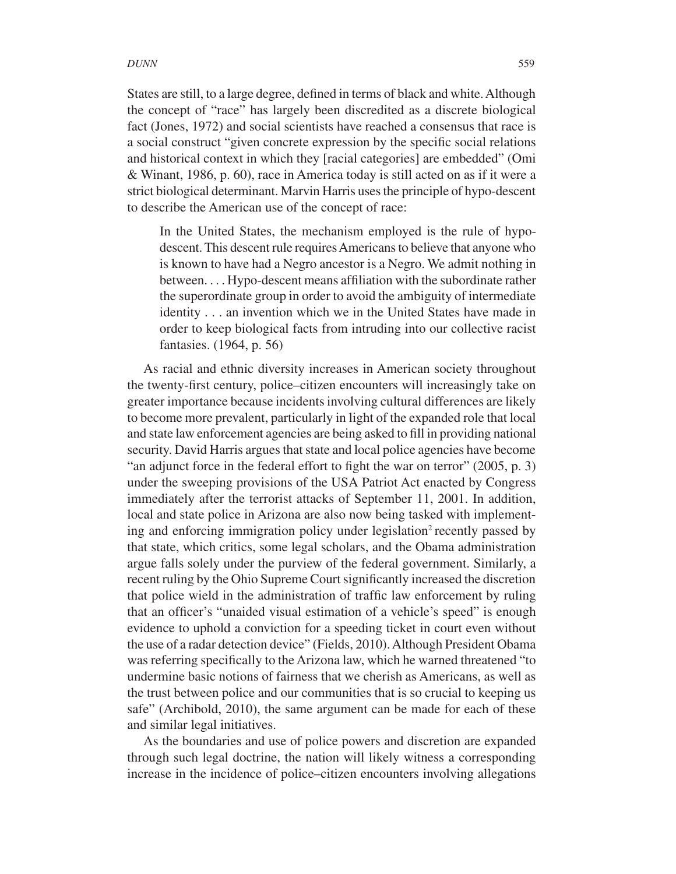#### *DUNN* 559

States are still, to a large degree, defined in terms of black and white. Although the concept of "race" has largely been discredited as a discrete biological fact (Jones, 1972) and social scientists have reached a consensus that race is a social construct "given concrete expression by the specific social relations and historical context in which they [racial categories] are embedded" (Omi & Winant, 1986, p. 60), race in America today is still acted on as if it were a strict biological determinant. Marvin Harris uses the principle of hypo-descent to describe the American use of the concept of race:

In the United States, the mechanism employed is the rule of hypodescent. This descent rule requires Americans to believe that anyone who is known to have had a Negro ancestor is a Negro. We admit nothing in between. . . . Hypo-descent means affiliation with the subordinate rather the superordinate group in order to avoid the ambiguity of intermediate identity . . . an invention which we in the United States have made in order to keep biological facts from intruding into our collective racist fantasies. (1964, p. 56)

As racial and ethnic diversity increases in American society throughout the twenty-first century, police–citizen encounters will increasingly take on greater importance because incidents involving cultural differences are likely to become more prevalent, particularly in light of the expanded role that local and state law enforcement agencies are being asked to fill in providing national security. David Harris argues that state and local police agencies have become "an adjunct force in the federal effort to fight the war on terror" (2005, p. 3) under the sweeping provisions of the USA Patriot Act enacted by Congress immediately after the terrorist attacks of September 11, 2001. In addition, local and state police in Arizona are also now being tasked with implementing and enforcing immigration policy under legislation<sup>2</sup> recently passed by that state, which critics, some legal scholars, and the Obama administration argue falls solely under the purview of the federal government. Similarly, a recent ruling by the Ohio Supreme Court significantly increased the discretion that police wield in the administration of traffic law enforcement by ruling that an officer's "unaided visual estimation of a vehicle's speed" is enough evidence to uphold a conviction for a speeding ticket in court even without the use of a radar detection device" (Fields, 2010). Although President Obama was referring specifically to the Arizona law, which he warned threatened "to undermine basic notions of fairness that we cherish as Americans, as well as the trust between police and our communities that is so crucial to keeping us safe" (Archibold, 2010), the same argument can be made for each of these and similar legal initiatives.

As the boundaries and use of police powers and discretion are expanded through such legal doctrine, the nation will likely witness a corresponding increase in the incidence of police–citizen encounters involving allegations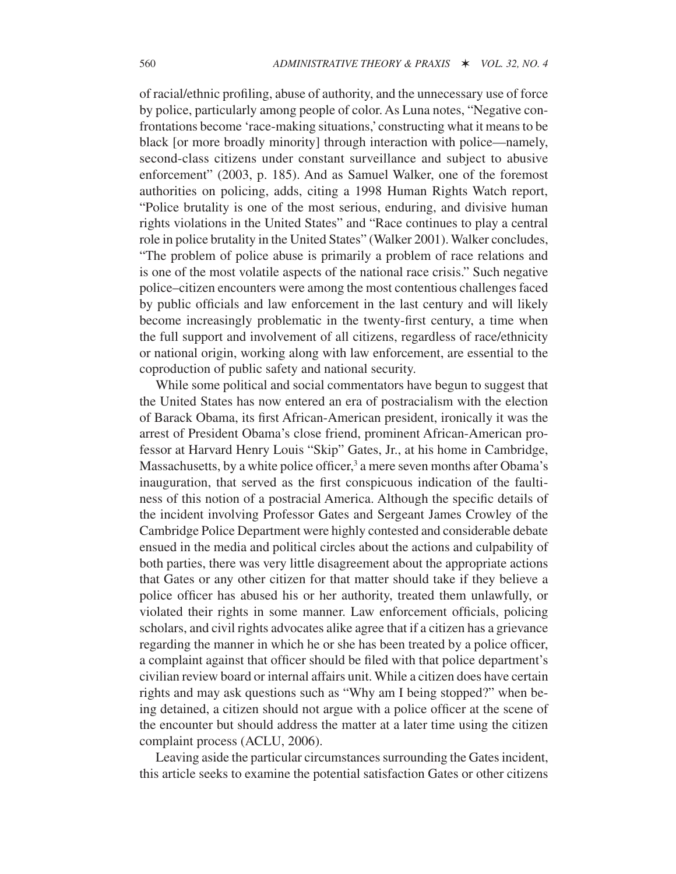of racial/ethnic profiling, abuse of authority, and the unnecessary use of force by police, particularly among people of color. As Luna notes, "Negative confrontations become 'race-making situations,' constructing what it means to be black [or more broadly minority] through interaction with police—namely, second-class citizens under constant surveillance and subject to abusive enforcement" (2003, p. 185). And as Samuel Walker, one of the foremost authorities on policing, adds, citing a 1998 Human Rights Watch report, "Police brutality is one of the most serious, enduring, and divisive human rights violations in the United States" and "Race continues to play a central role in police brutality in the United States" (Walker 2001). Walker concludes, "The problem of police abuse is primarily a problem of race relations and is one of the most volatile aspects of the national race crisis." Such negative police–citizen encounters were among the most contentious challenges faced by public officials and law enforcement in the last century and will likely become increasingly problematic in the twenty-first century, a time when the full support and involvement of all citizens, regardless of race/ethnicity or national origin, working along with law enforcement, are essential to the coproduction of public safety and national security.

While some political and social commentators have begun to suggest that the United States has now entered an era of postracialism with the election of Barack Obama, its first African-American president, ironically it was the arrest of President Obama's close friend, prominent African-American professor at Harvard Henry Louis "Skip" Gates, Jr., at his home in Cambridge, Massachusetts, by a white police officer,<sup>3</sup> a mere seven months after Obama's inauguration, that served as the first conspicuous indication of the faultiness of this notion of a postracial America. Although the specific details of the incident involving Professor Gates and Sergeant James Crowley of the Cambridge Police Department were highly contested and considerable debate ensued in the media and political circles about the actions and culpability of both parties, there was very little disagreement about the appropriate actions that Gates or any other citizen for that matter should take if they believe a police officer has abused his or her authority, treated them unlawfully, or violated their rights in some manner. Law enforcement officials, policing scholars, and civil rights advocates alike agree that if a citizen has a grievance regarding the manner in which he or she has been treated by a police officer, a complaint against that officer should be filed with that police department's civilian review board or internal affairs unit. While a citizen does have certain rights and may ask questions such as "Why am I being stopped?" when being detained, a citizen should not argue with a police officer at the scene of the encounter but should address the matter at a later time using the citizen complaint process (ACLU, 2006).

Leaving aside the particular circumstances surrounding the Gates incident, this article seeks to examine the potential satisfaction Gates or other citizens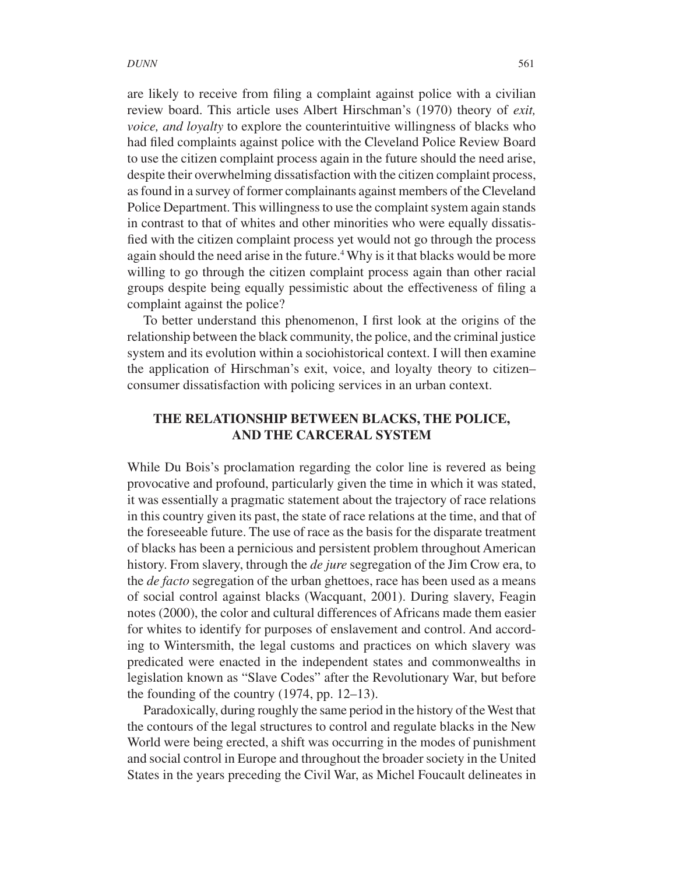are likely to receive from filing a complaint against police with a civilian review board. This article uses Albert Hirschman's (1970) theory of *exit, voice, and loyalty* to explore the counterintuitive willingness of blacks who had filed complaints against police with the Cleveland Police Review Board to use the citizen complaint process again in the future should the need arise, despite their overwhelming dissatisfaction with the citizen complaint process, as found in a survey of former complainants against members of the Cleveland Police Department. This willingness to use the complaint system again stands in contrast to that of whites and other minorities who were equally dissatisfied with the citizen complaint process yet would not go through the process again should the need arise in the future.<sup>4</sup> Why is it that blacks would be more willing to go through the citizen complaint process again than other racial groups despite being equally pessimistic about the effectiveness of filing a complaint against the police?

To better understand this phenomenon, I first look at the origins of the relationship between the black community, the police, and the criminal justice system and its evolution within a sociohistorical context. I will then examine the application of Hirschman's exit, voice, and loyalty theory to citizen– consumer dissatisfaction with policing services in an urban context.

# **THE RELATIONSHIP BETWEEN BLACKS, THE POLICE, AND THE CARCERAL SYSTEM**

While Du Bois's proclamation regarding the color line is revered as being provocative and profound, particularly given the time in which it was stated, it was essentially a pragmatic statement about the trajectory of race relations in this country given its past, the state of race relations at the time, and that of the foreseeable future. The use of race as the basis for the disparate treatment of blacks has been a pernicious and persistent problem throughout American history. From slavery, through the *de jure* segregation of the Jim Crow era, to the *de facto* segregation of the urban ghettoes, race has been used as a means of social control against blacks (Wacquant, 2001). During slavery, Feagin notes (2000), the color and cultural differences of Africans made them easier for whites to identify for purposes of enslavement and control. And according to Wintersmith, the legal customs and practices on which slavery was predicated were enacted in the independent states and commonwealths in legislation known as "Slave Codes" after the Revolutionary War, but before the founding of the country (1974, pp. 12–13).

Paradoxically, during roughly the same period in the history of the West that the contours of the legal structures to control and regulate blacks in the New World were being erected, a shift was occurring in the modes of punishment and social control in Europe and throughout the broader society in the United States in the years preceding the Civil War, as Michel Foucault delineates in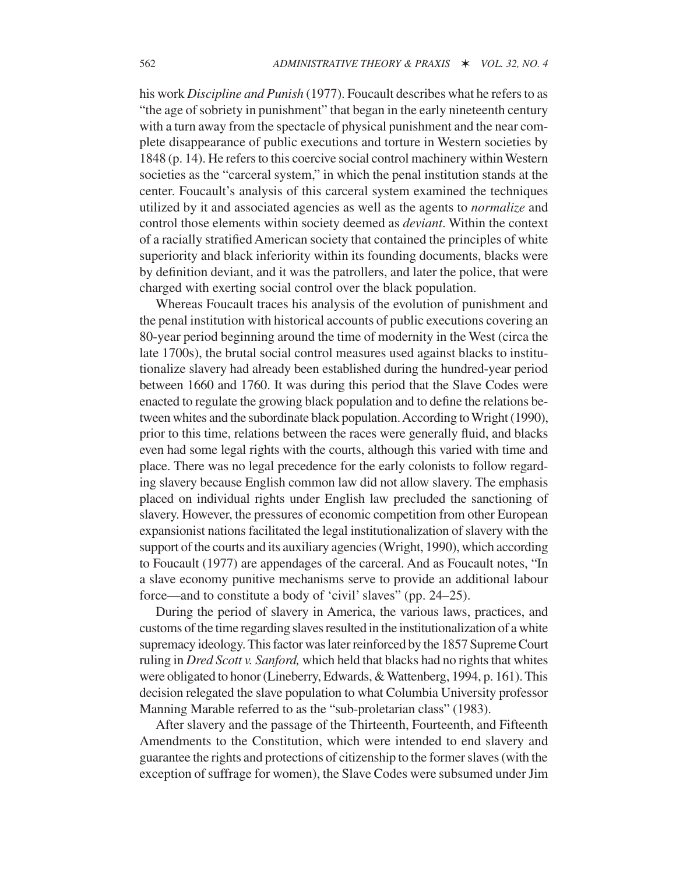his work *Discipline and Punish* (1977). Foucault describes what he refers to as "the age of sobriety in punishment" that began in the early nineteenth century with a turn away from the spectacle of physical punishment and the near complete disappearance of public executions and torture in Western societies by 1848 (p. 14). He refers to this coercive social control machinery within Western societies as the "carceral system," in which the penal institution stands at the center. Foucault's analysis of this carceral system examined the techniques utilized by it and associated agencies as well as the agents to *normalize* and control those elements within society deemed as *deviant*. Within the context of a racially stratified American society that contained the principles of white superiority and black inferiority within its founding documents, blacks were by definition deviant, and it was the patrollers, and later the police, that were charged with exerting social control over the black population.

Whereas Foucault traces his analysis of the evolution of punishment and the penal institution with historical accounts of public executions covering an 80-year period beginning around the time of modernity in the West (circa the late 1700s), the brutal social control measures used against blacks to institutionalize slavery had already been established during the hundred-year period between 1660 and 1760. It was during this period that the Slave Codes were enacted to regulate the growing black population and to define the relations between whites and the subordinate black population. According to Wright (1990), prior to this time, relations between the races were generally fluid, and blacks even had some legal rights with the courts, although this varied with time and place. There was no legal precedence for the early colonists to follow regarding slavery because English common law did not allow slavery. The emphasis placed on individual rights under English law precluded the sanctioning of slavery. However, the pressures of economic competition from other European expansionist nations facilitated the legal institutionalization of slavery with the support of the courts and its auxiliary agencies (Wright, 1990), which according to Foucault (1977) are appendages of the carceral. And as Foucault notes, "In a slave economy punitive mechanisms serve to provide an additional labour force—and to constitute a body of 'civil' slaves" (pp. 24–25).

During the period of slavery in America, the various laws, practices, and customs of the time regarding slaves resulted in the institutionalization of a white supremacy ideology. This factor was later reinforced by the 1857 Supreme Court ruling in *Dred Scott v. Sanford,* which held that blacks had no rights that whites were obligated to honor (Lineberry, Edwards, & Wattenberg, 1994, p. 161). This decision relegated the slave population to what Columbia University professor Manning Marable referred to as the "sub-proletarian class" (1983).

After slavery and the passage of the Thirteenth, Fourteenth, and Fifteenth Amendments to the Constitution, which were intended to end slavery and guarantee the rights and protections of citizenship to the former slaves (with the exception of suffrage for women), the Slave Codes were subsumed under Jim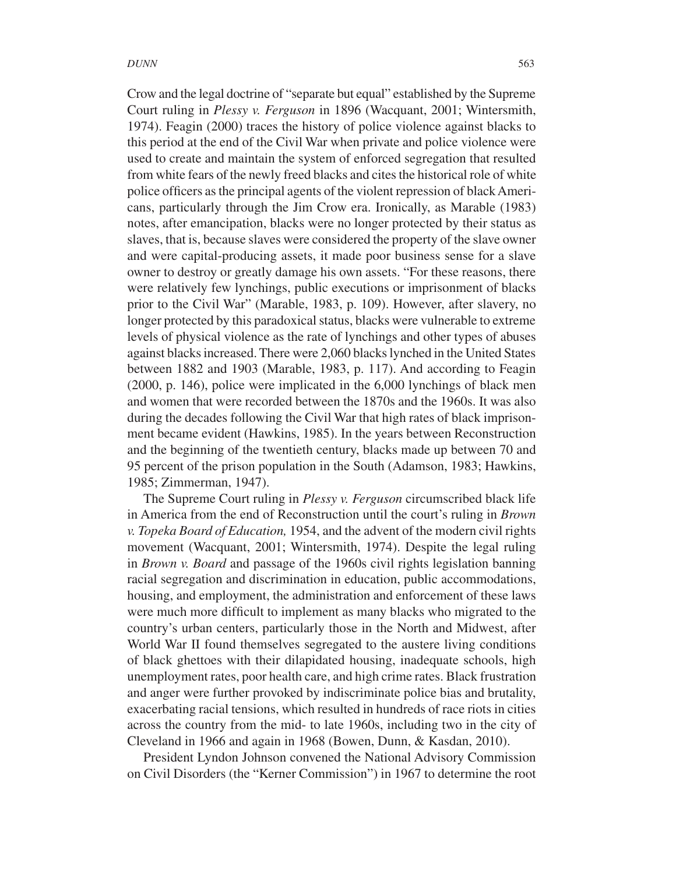Crow and the legal doctrine of "separate but equal" established by the Supreme Court ruling in *Plessy v. Ferguson* in 1896 (Wacquant, 2001; Wintersmith, 1974). Feagin (2000) traces the history of police violence against blacks to this period at the end of the Civil War when private and police violence were used to create and maintain the system of enforced segregation that resulted from white fears of the newly freed blacks and cites the historical role of white police officers as the principal agents of the violent repression of black Americans, particularly through the Jim Crow era. Ironically, as Marable (1983) notes, after emancipation, blacks were no longer protected by their status as slaves, that is, because slaves were considered the property of the slave owner and were capital-producing assets, it made poor business sense for a slave owner to destroy or greatly damage his own assets. "For these reasons, there were relatively few lynchings, public executions or imprisonment of blacks prior to the Civil War" (Marable, 1983, p. 109). However, after slavery, no longer protected by this paradoxical status, blacks were vulnerable to extreme levels of physical violence as the rate of lynchings and other types of abuses against blacks increased. There were 2,060 blacks lynched in the United States between 1882 and 1903 (Marable, 1983, p. 117). And according to Feagin (2000, p. 146), police were implicated in the 6,000 lynchings of black men and women that were recorded between the 1870s and the 1960s. It was also during the decades following the Civil War that high rates of black imprisonment became evident (Hawkins, 1985). In the years between Reconstruction and the beginning of the twentieth century, blacks made up between 70 and 95 percent of the prison population in the South (Adamson, 1983; Hawkins, 1985; Zimmerman, 1947).

The Supreme Court ruling in *Plessy v. Ferguson* circumscribed black life in America from the end of Reconstruction until the court's ruling in *Brown v. Topeka Board of Education,* 1954, and the advent of the modern civil rights movement (Wacquant, 2001; Wintersmith, 1974). Despite the legal ruling in *Brown v. Board* and passage of the 1960s civil rights legislation banning racial segregation and discrimination in education, public accommodations, housing, and employment, the administration and enforcement of these laws were much more difficult to implement as many blacks who migrated to the country's urban centers, particularly those in the North and Midwest, after World War II found themselves segregated to the austere living conditions of black ghettoes with their dilapidated housing, inadequate schools, high unemployment rates, poor health care, and high crime rates. Black frustration and anger were further provoked by indiscriminate police bias and brutality, exacerbating racial tensions, which resulted in hundreds of race riots in cities across the country from the mid- to late 1960s, including two in the city of Cleveland in 1966 and again in 1968 (Bowen, Dunn, & Kasdan, 2010).

President Lyndon Johnson convened the National Advisory Commission on Civil Disorders (the "Kerner Commission") in 1967 to determine the root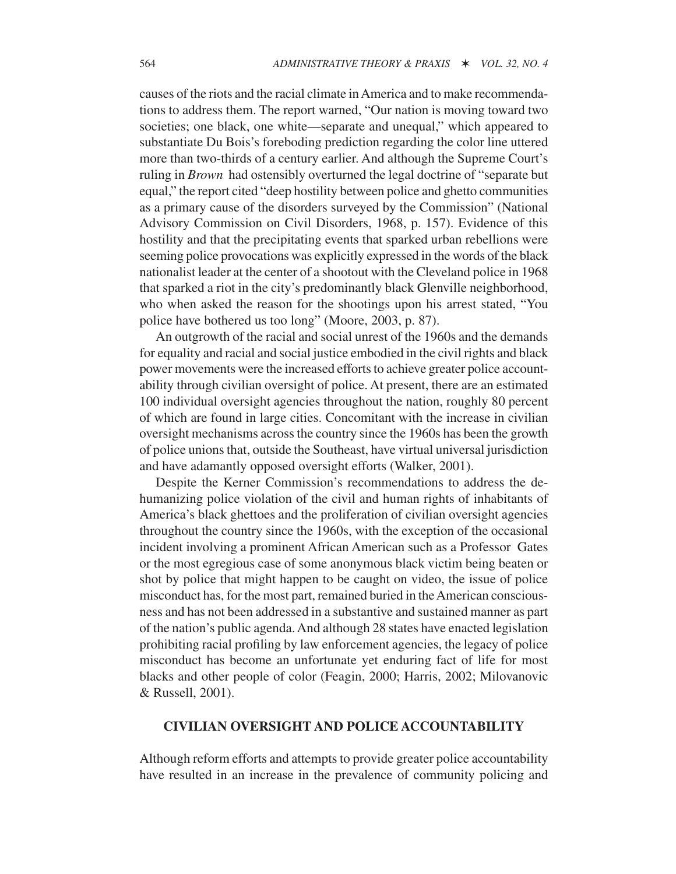causes of the riots and the racial climate in America and to make recommendations to address them. The report warned, "Our nation is moving toward two societies; one black, one white—separate and unequal," which appeared to substantiate Du Bois's foreboding prediction regarding the color line uttered more than two-thirds of a century earlier. And although the Supreme Court's ruling in *Brown* had ostensibly overturned the legal doctrine of "separate but equal," the report cited "deep hostility between police and ghetto communities as a primary cause of the disorders surveyed by the Commission" (National Advisory Commission on Civil Disorders, 1968, p. 157). Evidence of this hostility and that the precipitating events that sparked urban rebellions were seeming police provocations was explicitly expressed in the words of the black nationalist leader at the center of a shootout with the Cleveland police in 1968 that sparked a riot in the city's predominantly black Glenville neighborhood, who when asked the reason for the shootings upon his arrest stated, "You police have bothered us too long" (Moore, 2003, p. 87).

An outgrowth of the racial and social unrest of the 1960s and the demands for equality and racial and social justice embodied in the civil rights and black power movements were the increased efforts to achieve greater police accountability through civilian oversight of police. At present, there are an estimated 100 individual oversight agencies throughout the nation, roughly 80 percent of which are found in large cities. Concomitant with the increase in civilian oversight mechanisms across the country since the 1960s has been the growth of police unions that, outside the Southeast, have virtual universal jurisdiction and have adamantly opposed oversight efforts (Walker, 2001).

Despite the Kerner Commission's recommendations to address the dehumanizing police violation of the civil and human rights of inhabitants of America's black ghettoes and the proliferation of civilian oversight agencies throughout the country since the 1960s, with the exception of the occasional incident involving a prominent African American such as a Professor Gates or the most egregious case of some anonymous black victim being beaten or shot by police that might happen to be caught on video, the issue of police misconduct has, for the most part, remained buried in the American consciousness and has not been addressed in a substantive and sustained manner as part of the nation's public agenda. And although 28 states have enacted legislation prohibiting racial profiling by law enforcement agencies, the legacy of police misconduct has become an unfortunate yet enduring fact of life for most blacks and other people of color (Feagin, 2000; Harris, 2002; Milovanovic & Russell, 2001).

# **CIVILIAN OVERSIGHT AND POLICE ACCOUNTABILITY**

Although reform efforts and attempts to provide greater police accountability have resulted in an increase in the prevalence of community policing and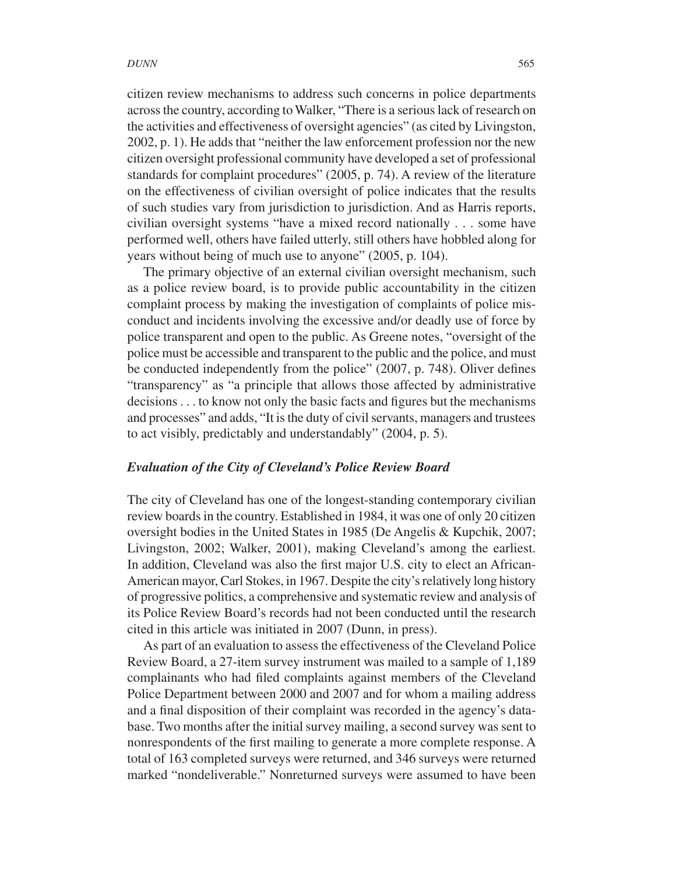citizen review mechanisms to address such concerns in police departments across the country, according to Walker, "There is a serious lack of research on the activities and effectiveness of oversight agencies" (as cited by Livingston, 2002, p. 1). He adds that "neither the law enforcement profession nor the new citizen oversight professional community have developed a set of professional standards for complaint procedures" (2005, p. 74). A review of the literature on the effectiveness of civilian oversight of police indicates that the results of such studies vary from jurisdiction to jurisdiction. And as Harris reports, civilian oversight systems "have a mixed record nationally . . . some have performed well, others have failed utterly, still others have hobbled along for years without being of much use to anyone" (2005, p. 104).

The primary objective of an external civilian oversight mechanism, such as a police review board, is to provide public accountability in the citizen complaint process by making the investigation of complaints of police misconduct and incidents involving the excessive and/or deadly use of force by police transparent and open to the public. As Greene notes, "oversight of the police must be accessible and transparent to the public and the police, and must be conducted independently from the police" (2007, p. 748). Oliver defines "transparency" as "a principle that allows those affected by administrative decisions . . . to know not only the basic facts and figures but the mechanisms and processes" and adds, "It is the duty of civil servants, managers and trustees to act visibly, predictably and understandably" (2004, p. 5).

### *Evaluation of the City of Cleveland's Police Review Board*

The city of Cleveland has one of the longest-standing contemporary civilian review boards in the country. Established in 1984, it was one of only 20 citizen oversight bodies in the United States in 1985 (De Angelis & Kupchik, 2007; Livingston, 2002; Walker, 2001), making Cleveland's among the earliest. In addition, Cleveland was also the first major U.S. city to elect an African-American mayor, Carl Stokes, in 1967. Despite the city's relatively long history of progressive politics, a comprehensive and systematic review and analysis of its Police Review Board's records had not been conducted until the research cited in this article was initiated in 2007 (Dunn, in press).

As part of an evaluation to assess the effectiveness of the Cleveland Police Review Board, a 27-item survey instrument was mailed to a sample of 1,189 complainants who had filed complaints against members of the Cleveland Police Department between 2000 and 2007 and for whom a mailing address and a final disposition of their complaint was recorded in the agency's database. Two months after the initial survey mailing, a second survey was sent to nonrespondents of the first mailing to generate a more complete response. A total of 163 completed surveys were returned, and 346 surveys were returned marked "nondeliverable." Nonreturned surveys were assumed to have been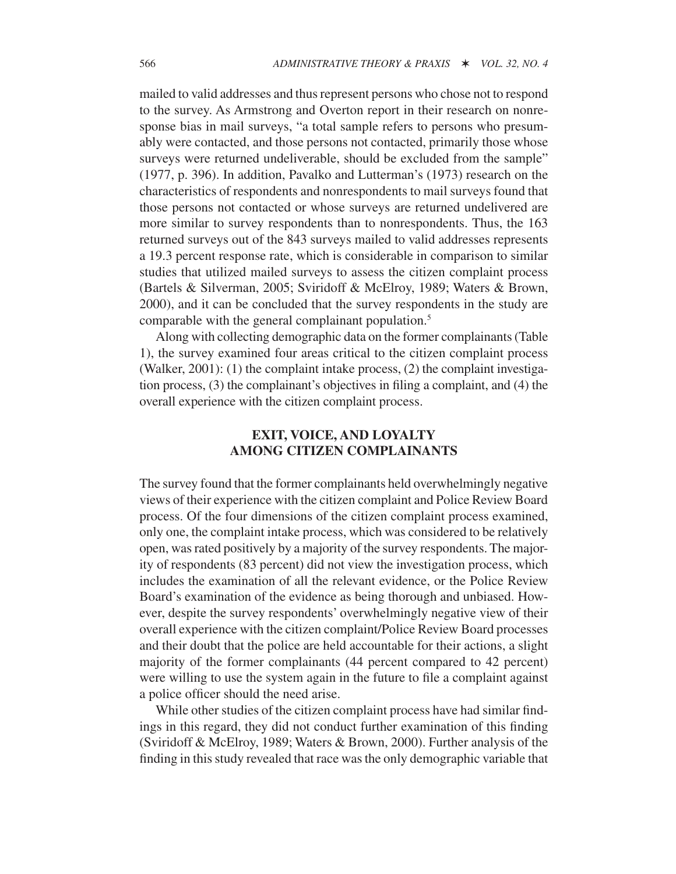mailed to valid addresses and thus represent persons who chose not to respond to the survey. As Armstrong and Overton report in their research on nonresponse bias in mail surveys, "a total sample refers to persons who presumably were contacted, and those persons not contacted, primarily those whose surveys were returned undeliverable, should be excluded from the sample" (1977, p. 396). In addition, Pavalko and Lutterman's (1973) research on the characteristics of respondents and nonrespondents to mail surveys found that those persons not contacted or whose surveys are returned undelivered are more similar to survey respondents than to nonrespondents. Thus, the 163 returned surveys out of the 843 surveys mailed to valid addresses represents a 19.3 percent response rate, which is considerable in comparison to similar studies that utilized mailed surveys to assess the citizen complaint process (Bartels & Silverman, 2005; Sviridoff & McElroy, 1989; Waters & Brown, 2000), and it can be concluded that the survey respondents in the study are comparable with the general complainant population.<sup>5</sup>

Along with collecting demographic data on the former complainants (Table 1), the survey examined four areas critical to the citizen complaint process (Walker, 2001): (1) the complaint intake process, (2) the complaint investigation process, (3) the complainant's objectives in filing a complaint, and (4) the overall experience with the citizen complaint process.

# **EXIT, VOICE, AND LOYALTY AMONG CITIZEN COMPLAINANTS**

The survey found that the former complainants held overwhelmingly negative views of their experience with the citizen complaint and Police Review Board process. Of the four dimensions of the citizen complaint process examined, only one, the complaint intake process, which was considered to be relatively open, was rated positively by a majority of the survey respondents. The majority of respondents (83 percent) did not view the investigation process, which includes the examination of all the relevant evidence, or the Police Review Board's examination of the evidence as being thorough and unbiased. However, despite the survey respondents' overwhelmingly negative view of their overall experience with the citizen complaint/Police Review Board processes and their doubt that the police are held accountable for their actions, a slight majority of the former complainants (44 percent compared to 42 percent) were willing to use the system again in the future to file a complaint against a police officer should the need arise.

While other studies of the citizen complaint process have had similar findings in this regard, they did not conduct further examination of this finding (Sviridoff & McElroy, 1989; Waters & Brown, 2000). Further analysis of the finding in this study revealed that race was the only demographic variable that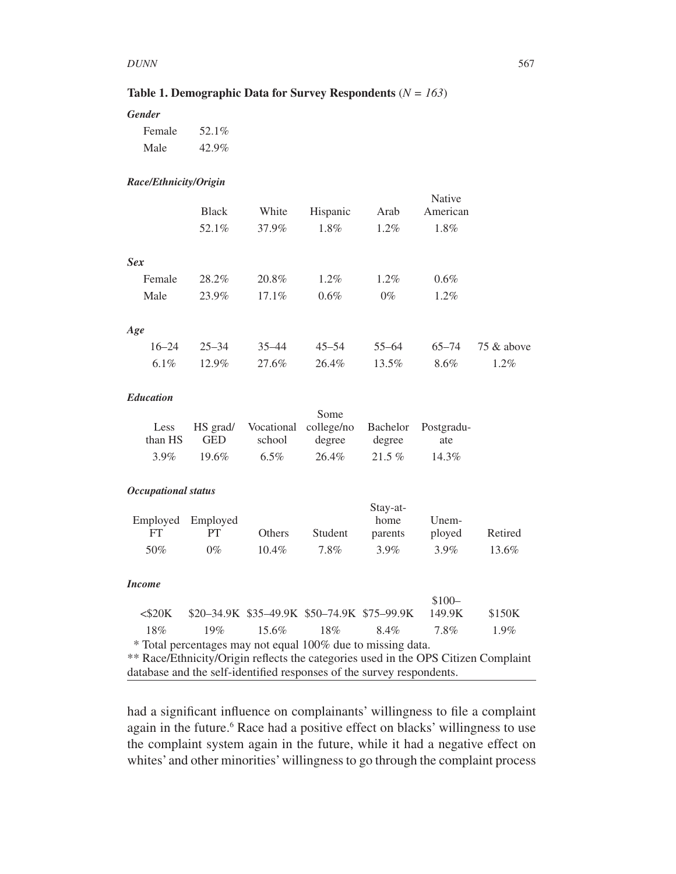# **Table 1. Demographic Data for Survey Respondents** (*N = 163*)

#### *Gender*

| Female | 52.1% |
|--------|-------|
| Male   | 42.9% |

#### *Race/Ethnicity/Origin*

|            | <b>Black</b> | White     | <b>Hispanic</b> | Arab      | Native<br>American |            |
|------------|--------------|-----------|-----------------|-----------|--------------------|------------|
|            | 52.1%        | 37.9%     | 1.8%            | $1.2\%$   | 1.8%               |            |
| <b>Sex</b> |              |           |                 |           |                    |            |
| Female     | 28.2%        | 20.8%     | $1.2\%$         | $1.2\%$   | $0.6\%$            |            |
| Male       | 23.9%        | 17.1%     | $0.6\%$         | $0\%$     | $1.2\%$            |            |
| Age        |              |           |                 |           |                    |            |
| $16 - 24$  | $25 - 34$    | $35 - 44$ | $45 - 54$       | $55 - 64$ | $65 - 74$          | 75 & above |
| 6.1%       | 12.9%        | 27.6%     | 26.4%           | 13.5%     | 8.6%               | $1.2\%$    |

#### *Education*

|         | Some       |                                                    |        |          |          |  |
|---------|------------|----------------------------------------------------|--------|----------|----------|--|
| Less    |            | HS grad/ Vocational college/no Bachelor Postgradu- |        |          |          |  |
| than HS | <b>GED</b> | school                                             | degree | degree   | ate      |  |
| $3.9\%$ | 19.6%      | $6.5\%$                                            | 26.4%  | $21.5\%$ | $14.3\%$ |  |

#### *Occupational status*

| FT            | Employed Employed<br>PТ | <b>Others</b> | Student                                     | Stay-at-<br>home<br>parents | $U$ nem-<br>ployed | Retired |
|---------------|-------------------------|---------------|---------------------------------------------|-----------------------------|--------------------|---------|
| 50%           | $0\%$                   | $10.4\%$      | 7.8%                                        | $3.9\%$                     | $3.9\%$            | 13.6%   |
| <i>Income</i> |                         |               |                                             |                             |                    |         |
| <\$20K        |                         |               | \$20-34.9K \$35-49.9K \$50-74.9K \$75-99.9K |                             | $$100-$<br>149.9K  | \$150K  |

| $18\%$ | 19% | $15.6\%$ | 18%                                                                                | 8.4% | 7.8% | $1.9\%$ |
|--------|-----|----------|------------------------------------------------------------------------------------|------|------|---------|
|        |     |          | * Total percentages may not equal 100% due to missing data.                        |      |      |         |
|        |     |          | ** Race/Ethnicity/Origin reflects the categories used in the OPS Citizen Complaint |      |      |         |
|        |     |          |                                                                                    |      |      |         |

database and the self-identified responses of the survey respondents.

had a significant influence on complainants' willingness to file a complaint again in the future.<sup>6</sup> Race had a positive effect on blacks' willingness to use the complaint system again in the future, while it had a negative effect on whites' and other minorities' willingness to go through the complaint process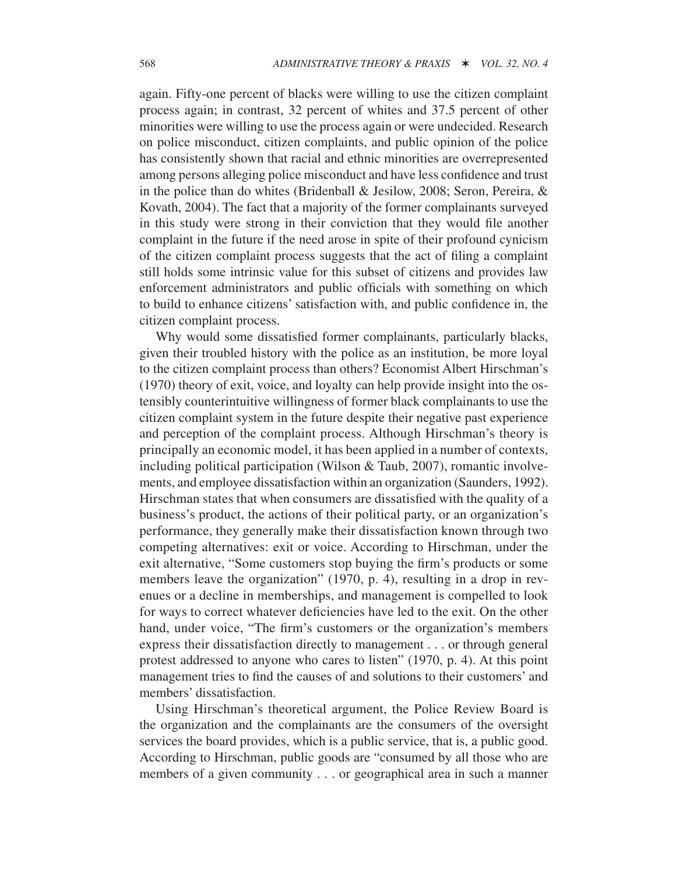again. Fifty-one percent of blacks were willing to use the citizen complaint process again; in contrast, 32 percent of whites and 37.5 percent of other minorities were willing to use the process again or were undecided. Research on police misconduct, citizen complaints, and public opinion of the police has consistently shown that racial and ethnic minorities are overrepresented among persons alleging police misconduct and have less confidence and trust in the police than do whites (Bridenball & Jesilow, 2008; Seron, Pereira, & Kovath, 2004). The fact that a majority of the former complainants surveyed in this study were strong in their conviction that they would file another complaint in the future if the need arose in spite of their profound cynicism of the citizen complaint process suggests that the act of filing a complaint still holds some intrinsic value for this subset of citizens and provides law enforcement administrators and public officials with something on which to build to enhance citizens' satisfaction with, and public confidence in, the citizen complaint process.

Why would some dissatisfied former complainants, particularly blacks, given their troubled history with the police as an institution, be more loyal to the citizen complaint process than others? Economist Albert Hirschman's (1970) theory of exit, voice, and loyalty can help provide insight into the ostensibly counterintuitive willingness of former black complainants to use the citizen complaint system in the future despite their negative past experience and perception of the complaint process. Although Hirschman's theory is principally an economic model, it has been applied in a number of contexts, including political participation (Wilson & Taub, 2007), romantic involvements, and employee dissatisfaction within an organization (Saunders, 1992). Hirschman states that when consumers are dissatisfied with the quality of a business's product, the actions of their political party, or an organization's performance, they generally make their dissatisfaction known through two competing alternatives: exit or voice. According to Hirschman, under the exit alternative, "Some customers stop buying the firm's products or some members leave the organization" (1970, p. 4), resulting in a drop in revenues or a decline in memberships, and management is compelled to look for ways to correct whatever deficiencies have led to the exit. On the other hand, under voice, "The firm's customers or the organization's members express their dissatisfaction directly to management . . . or through general protest addressed to anyone who cares to listen" (1970, p. 4). At this point management tries to find the causes of and solutions to their customers' and members' dissatisfaction.

Using Hirschman's theoretical argument, the Police Review Board is the organization and the complainants are the consumers of the oversight services the board provides, which is a public service, that is, a public good. According to Hirschman, public goods are "consumed by all those who are members of a given community . . . or geographical area in such a manner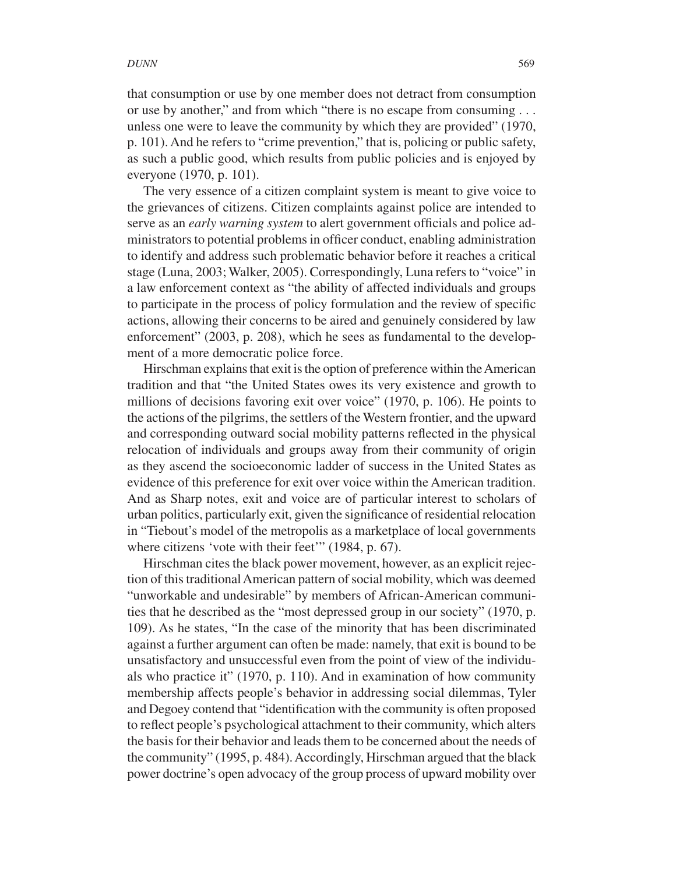that consumption or use by one member does not detract from consumption or use by another," and from which "there is no escape from consuming . . . unless one were to leave the community by which they are provided" (1970, p. 101). And he refers to "crime prevention," that is, policing or public safety, as such a public good, which results from public policies and is enjoyed by everyone (1970, p. 101).

The very essence of a citizen complaint system is meant to give voice to the grievances of citizens. Citizen complaints against police are intended to serve as an *early warning system* to alert government officials and police administrators to potential problems in officer conduct, enabling administration to identify and address such problematic behavior before it reaches a critical stage (Luna, 2003; Walker, 2005). Correspondingly, Luna refers to "voice" in a law enforcement context as "the ability of affected individuals and groups to participate in the process of policy formulation and the review of specific actions, allowing their concerns to be aired and genuinely considered by law enforcement" (2003, p. 208), which he sees as fundamental to the development of a more democratic police force.

Hirschman explains that exit is the option of preference within the American tradition and that "the United States owes its very existence and growth to millions of decisions favoring exit over voice" (1970, p. 106). He points to the actions of the pilgrims, the settlers of the Western frontier, and the upward and corresponding outward social mobility patterns reflected in the physical relocation of individuals and groups away from their community of origin as they ascend the socioeconomic ladder of success in the United States as evidence of this preference for exit over voice within the American tradition. And as Sharp notes, exit and voice are of particular interest to scholars of urban politics, particularly exit, given the significance of residential relocation in "Tiebout's model of the metropolis as a marketplace of local governments where citizens 'vote with their feet'" (1984, p. 67).

Hirschman cites the black power movement, however, as an explicit rejection of this traditional American pattern of social mobility, which was deemed "unworkable and undesirable" by members of African-American communities that he described as the "most depressed group in our society" (1970, p. 109). As he states, "In the case of the minority that has been discriminated against a further argument can often be made: namely, that exit is bound to be unsatisfactory and unsuccessful even from the point of view of the individuals who practice it" (1970, p. 110). And in examination of how community membership affects people's behavior in addressing social dilemmas, Tyler and Degoey contend that "identification with the community is often proposed to reflect people's psychological attachment to their community, which alters the basis for their behavior and leads them to be concerned about the needs of the community" (1995, p. 484). Accordingly, Hirschman argued that the black power doctrine's open advocacy of the group process of upward mobility over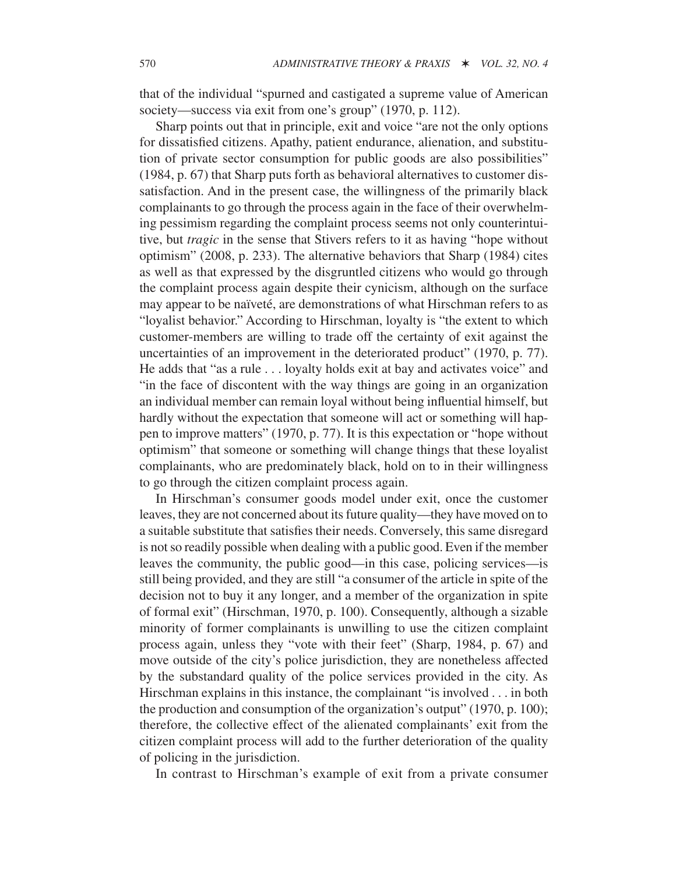that of the individual "spurned and castigated a supreme value of American society—success via exit from one's group" (1970, p. 112).

Sharp points out that in principle, exit and voice "are not the only options for dissatisfied citizens. Apathy, patient endurance, alienation, and substitution of private sector consumption for public goods are also possibilities" (1984, p. 67) that Sharp puts forth as behavioral alternatives to customer dissatisfaction. And in the present case, the willingness of the primarily black complainants to go through the process again in the face of their overwhelming pessimism regarding the complaint process seems not only counterintuitive, but *tragic* in the sense that Stivers refers to it as having "hope without optimism" (2008, p. 233). The alternative behaviors that Sharp (1984) cites as well as that expressed by the disgruntled citizens who would go through the complaint process again despite their cynicism, although on the surface may appear to be naïveté, are demonstrations of what Hirschman refers to as "loyalist behavior." According to Hirschman, loyalty is "the extent to which customer-members are willing to trade off the certainty of exit against the uncertainties of an improvement in the deteriorated product" (1970, p. 77). He adds that "as a rule . . . loyalty holds exit at bay and activates voice" and "in the face of discontent with the way things are going in an organization an individual member can remain loyal without being influential himself, but hardly without the expectation that someone will act or something will happen to improve matters" (1970, p. 77). It is this expectation or "hope without optimism" that someone or something will change things that these loyalist complainants, who are predominately black, hold on to in their willingness to go through the citizen complaint process again.

In Hirschman's consumer goods model under exit, once the customer leaves, they are not concerned about its future quality—they have moved on to a suitable substitute that satisfies their needs. Conversely, this same disregard is not so readily possible when dealing with a public good. Even if the member leaves the community, the public good—in this case, policing services—is still being provided, and they are still "a consumer of the article in spite of the decision not to buy it any longer, and a member of the organization in spite of formal exit" (Hirschman, 1970, p. 100). Consequently, although a sizable minority of former complainants is unwilling to use the citizen complaint process again, unless they "vote with their feet" (Sharp, 1984, p. 67) and move outside of the city's police jurisdiction, they are nonetheless affected by the substandard quality of the police services provided in the city. As Hirschman explains in this instance, the complainant "is involved . . . in both the production and consumption of the organization's output" (1970, p. 100); therefore, the collective effect of the alienated complainants' exit from the citizen complaint process will add to the further deterioration of the quality of policing in the jurisdiction.

In contrast to Hirschman's example of exit from a private consumer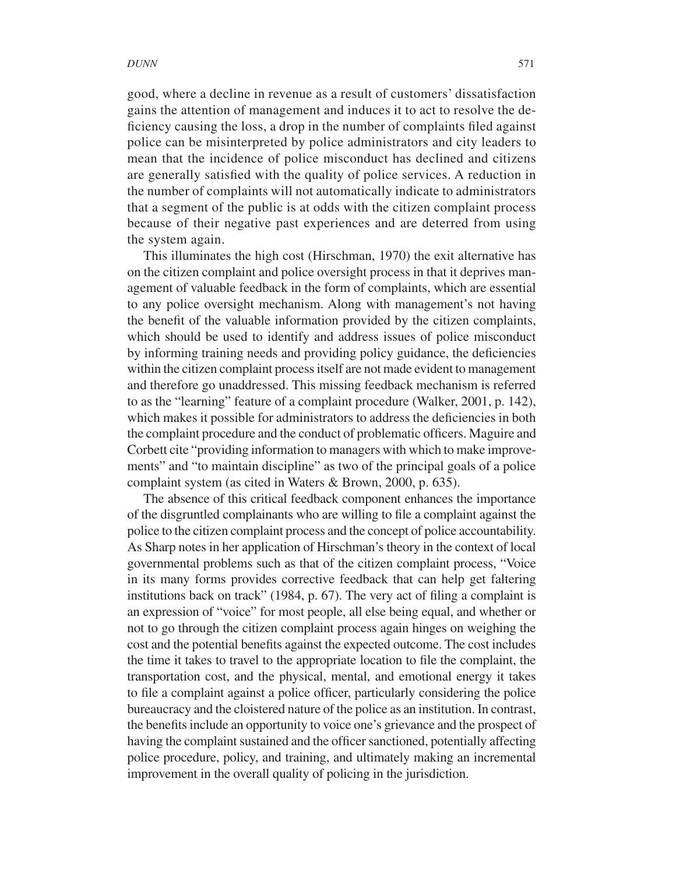good, where a decline in revenue as a result of customers' dissatisfaction gains the attention of management and induces it to act to resolve the deficiency causing the loss, a drop in the number of complaints filed against police can be misinterpreted by police administrators and city leaders to mean that the incidence of police misconduct has declined and citizens are generally satisfied with the quality of police services. A reduction in the number of complaints will not automatically indicate to administrators that a segment of the public is at odds with the citizen complaint process because of their negative past experiences and are deterred from using the system again.

This illuminates the high cost (Hirschman, 1970) the exit alternative has on the citizen complaint and police oversight process in that it deprives management of valuable feedback in the form of complaints, which are essential to any police oversight mechanism. Along with management's not having the benefit of the valuable information provided by the citizen complaints, which should be used to identify and address issues of police misconduct by informing training needs and providing policy guidance, the deficiencies within the citizen complaint process itself are not made evident to management and therefore go unaddressed. This missing feedback mechanism is referred to as the "learning" feature of a complaint procedure (Walker, 2001, p. 142), which makes it possible for administrators to address the deficiencies in both the complaint procedure and the conduct of problematic officers. Maguire and Corbett cite "providing information to managers with which to make improvements" and "to maintain discipline" as two of the principal goals of a police complaint system (as cited in Waters & Brown, 2000, p. 635).

The absence of this critical feedback component enhances the importance of the disgruntled complainants who are willing to file a complaint against the police to the citizen complaint process and the concept of police accountability. As Sharp notes in her application of Hirschman's theory in the context of local governmental problems such as that of the citizen complaint process, "Voice in its many forms provides corrective feedback that can help get faltering institutions back on track" (1984, p. 67). The very act of filing a complaint is an expression of "voice" for most people, all else being equal, and whether or not to go through the citizen complaint process again hinges on weighing the cost and the potential benefits against the expected outcome. The cost includes the time it takes to travel to the appropriate location to file the complaint, the transportation cost, and the physical, mental, and emotional energy it takes to file a complaint against a police officer, particularly considering the police bureaucracy and the cloistered nature of the police as an institution. In contrast, the benefits include an opportunity to voice one's grievance and the prospect of having the complaint sustained and the officer sanctioned, potentially affecting police procedure, policy, and training, and ultimately making an incremental improvement in the overall quality of policing in the jurisdiction.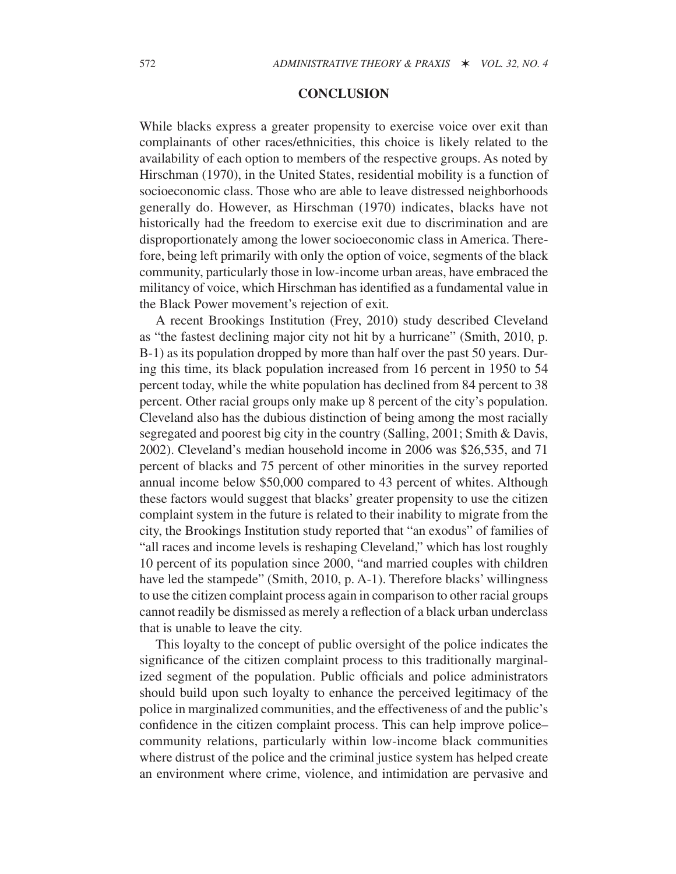# **CONCLUSION**

While blacks express a greater propensity to exercise voice over exit than complainants of other races/ethnicities, this choice is likely related to the availability of each option to members of the respective groups. As noted by Hirschman (1970), in the United States, residential mobility is a function of socioeconomic class. Those who are able to leave distressed neighborhoods generally do. However, as Hirschman (1970) indicates, blacks have not historically had the freedom to exercise exit due to discrimination and are disproportionately among the lower socioeconomic class in America. Therefore, being left primarily with only the option of voice, segments of the black community, particularly those in low-income urban areas, have embraced the militancy of voice, which Hirschman has identified as a fundamental value in the Black Power movement's rejection of exit.

A recent Brookings Institution (Frey, 2010) study described Cleveland as "the fastest declining major city not hit by a hurricane" (Smith, 2010, p. B-1) as its population dropped by more than half over the past 50 years. During this time, its black population increased from 16 percent in 1950 to 54 percent today, while the white population has declined from 84 percent to 38 percent. Other racial groups only make up 8 percent of the city's population. Cleveland also has the dubious distinction of being among the most racially segregated and poorest big city in the country (Salling, 2001; Smith & Davis, 2002). Cleveland's median household income in 2006 was \$26,535, and 71 percent of blacks and 75 percent of other minorities in the survey reported annual income below \$50,000 compared to 43 percent of whites. Although these factors would suggest that blacks' greater propensity to use the citizen complaint system in the future is related to their inability to migrate from the city, the Brookings Institution study reported that "an exodus" of families of "all races and income levels is reshaping Cleveland," which has lost roughly 10 percent of its population since 2000, "and married couples with children have led the stampede" (Smith, 2010, p. A-1). Therefore blacks' willingness to use the citizen complaint process again in comparison to other racial groups cannot readily be dismissed as merely a reflection of a black urban underclass that is unable to leave the city.

This loyalty to the concept of public oversight of the police indicates the significance of the citizen complaint process to this traditionally marginalized segment of the population. Public officials and police administrators should build upon such loyalty to enhance the perceived legitimacy of the police in marginalized communities, and the effectiveness of and the public's confidence in the citizen complaint process. This can help improve police– community relations, particularly within low-income black communities where distrust of the police and the criminal justice system has helped create an environment where crime, violence, and intimidation are pervasive and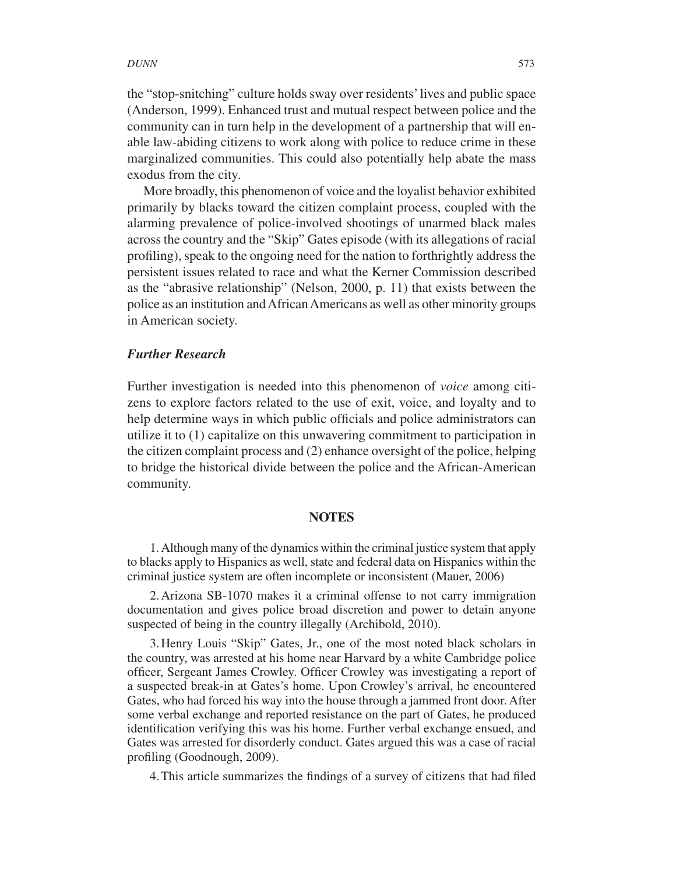the "stop-snitching" culture holds sway over residents' lives and public space (Anderson, 1999). Enhanced trust and mutual respect between police and the community can in turn help in the development of a partnership that will enable law-abiding citizens to work along with police to reduce crime in these marginalized communities. This could also potentially help abate the mass exodus from the city.

More broadly, this phenomenon of voice and the loyalist behavior exhibited primarily by blacks toward the citizen complaint process, coupled with the alarming prevalence of police-involved shootings of unarmed black males across the country and the "Skip" Gates episode (with its allegations of racial profiling), speak to the ongoing need for the nation to forthrightly address the persistent issues related to race and what the Kerner Commission described as the "abrasive relationship" (Nelson, 2000, p. 11) that exists between the police as an institution and African Americans as well as other minority groups in American society.

# *Further Research*

Further investigation is needed into this phenomenon of *voice* among citizens to explore factors related to the use of exit, voice, and loyalty and to help determine ways in which public officials and police administrators can utilize it to (1) capitalize on this unwavering commitment to participation in the citizen complaint process and (2) enhance oversight of the police, helping to bridge the historical divide between the police and the African-American community.

### **NOTES**

1.Although many of the dynamics within the criminal justice system that apply to blacks apply to Hispanics as well, state and federal data on Hispanics within the criminal justice system are often incomplete or inconsistent (Mauer, 2006)

2.Arizona SB-1070 makes it a criminal offense to not carry immigration documentation and gives police broad discretion and power to detain anyone suspected of being in the country illegally (Archibold, 2010).

3.Henry Louis "Skip" Gates, Jr., one of the most noted black scholars in the country, was arrested at his home near Harvard by a white Cambridge police officer, Sergeant James Crowley. Officer Crowley was investigating a report of a suspected break-in at Gates's home. Upon Crowley's arrival, he encountered Gates, who had forced his way into the house through a jammed front door. After some verbal exchange and reported resistance on the part of Gates, he produced identification verifying this was his home. Further verbal exchange ensued, and Gates was arrested for disorderly conduct. Gates argued this was a case of racial profiling (Goodnough, 2009).

4.This article summarizes the findings of a survey of citizens that had filed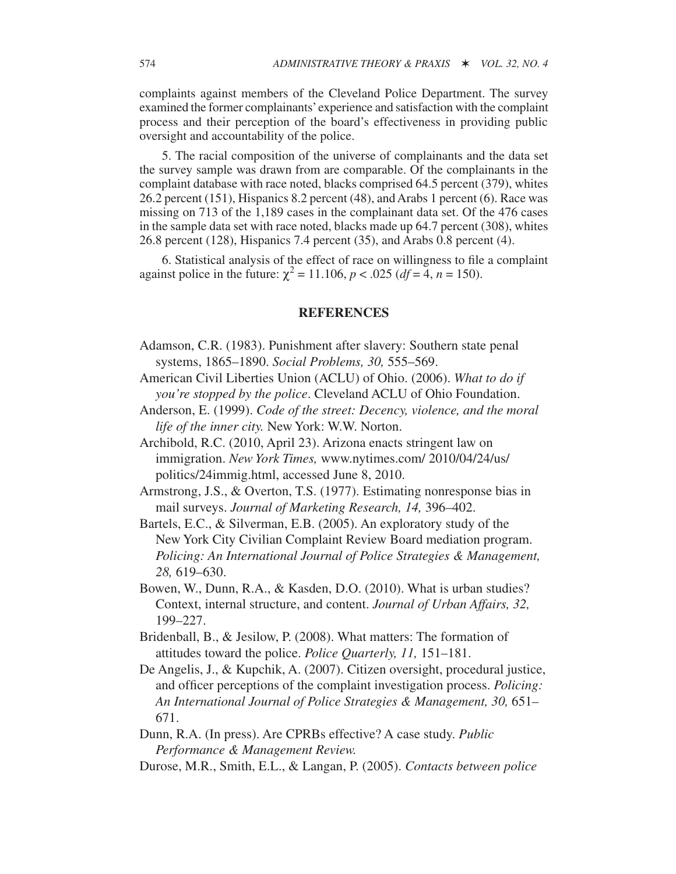complaints against members of the Cleveland Police Department. The survey examined the former complainants' experience and satisfaction with the complaint process and their perception of the board's effectiveness in providing public oversight and accountability of the police.

5. The racial composition of the universe of complainants and the data set the survey sample was drawn from are comparable. Of the complainants in the complaint database with race noted, blacks comprised 64.5 percent (379), whites 26.2 percent (151), Hispanics 8.2 percent (48), and Arabs 1 percent (6). Race was missing on 713 of the 1,189 cases in the complainant data set. Of the 476 cases in the sample data set with race noted, blacks made up 64.7 percent (308), whites 26.8 percent (128), Hispanics 7.4 percent (35), and Arabs 0.8 percent (4).

6. Statistical analysis of the effect of race on willingness to file a complaint against police in the future:  $\chi^2 = 11.106$ ,  $p < .025$  (*df* = 4, *n* = 150).

#### **REFERENCES**

- Adamson, C.R. (1983). Punishment after slavery: Southern state penal systems, 1865–1890. *Social Problems, 30,* 555–569.
- American Civil Liberties Union (ACLU) of Ohio. (2006). *What to do if you're stopped by the police*. Cleveland ACLU of Ohio Foundation.
- Anderson, E. (1999). *Code of the street: Decency, violence, and the moral life of the inner city.* New York: W.W. Norton.
- Archibold, R.C. (2010, April 23). Arizona enacts stringent law on immigration. *New York Times,* www.nytimes.com/ 2010/04/24/us/ politics/24immig.html, accessed June 8, 2010.
- Armstrong, J.S., & Overton, T.S. (1977). Estimating nonresponse bias in mail surveys. *Journal of Marketing Research, 14,* 396–402.
- Bartels, E.C., & Silverman, E.B. (2005). An exploratory study of the New York City Civilian Complaint Review Board mediation program. *Policing: An International Journal of Police Strategies & Management, 28,* 619–630.
- Bowen, W., Dunn, R.A., & Kasden, D.O. (2010). What is urban studies? Context, internal structure, and content. *Journal of Urban Affairs, 32,*  199–227.
- Bridenball, B., & Jesilow, P. (2008). What matters: The formation of attitudes toward the police. *Police Quarterly, 11,* 151–181.
- De Angelis, J., & Kupchik, A. (2007). Citizen oversight, procedural justice, and officer perceptions of the complaint investigation process. *Policing: An International Journal of Police Strategies & Management, 30,* 651– 671.

Dunn, R.A. (In press). Are CPRBs effective? A case study. *Public Performance & Management Review.*

Durose, M.R., Smith, E.L., & Langan, P. (2005). *Contacts between police*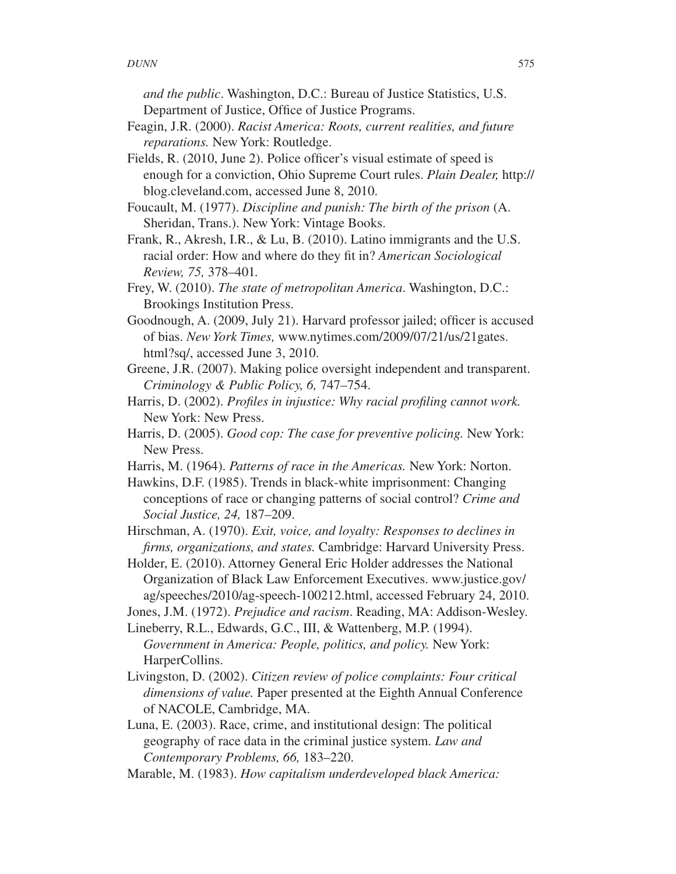*and the public*. Washington, D.C.: Bureau of Justice Statistics, U.S. Department of Justice, Office of Justice Programs.

- Feagin, J.R. (2000). *Racist America: Roots, current realities, and future reparations.* New York: Routledge.
- Fields, R. (2010, June 2). Police officer's visual estimate of speed is enough for a conviction, Ohio Supreme Court rules. *Plain Dealer,* http:// blog.cleveland.com, accessed June 8, 2010.
- Foucault, M. (1977). *Discipline and punish: The birth of the prison* (A. Sheridan, Trans.). New York: Vintage Books.
- Frank, R., Akresh, I.R., & Lu, B. (2010). Latino immigrants and the U.S. racial order: How and where do they fit in? *American Sociological Review, 75,* 378–401*.*
- Frey, W. (2010). *The state of metropolitan America*. Washington, D.C.: Brookings Institution Press.
- Goodnough, A. (2009, July 21). Harvard professor jailed; officer is accused of bias. *New York Times,* www.nytimes.com/2009/07/21/us/21gates. html?sq/, accessed June 3, 2010.
- Greene, J.R. (2007). Making police oversight independent and transparent. *Criminology & Public Policy, 6,* 747–754.
- Harris, D. (2002). *Profiles in injustice: Why racial profiling cannot work.* New York: New Press.
- Harris, D. (2005). *Good cop: The case for preventive policing.* New York: New Press.
- Harris, M. (1964). *Patterns of race in the Americas.* New York: Norton.
- Hawkins, D.F. (1985). Trends in black-white imprisonment: Changing conceptions of race or changing patterns of social control? *Crime and Social Justice, 24,* 187–209.
- Hirschman, A. (1970). *Exit, voice, and loyalty: Responses to declines in firms, organizations, and states.* Cambridge: Harvard University Press.
- Holder, E. (2010). Attorney General Eric Holder addresses the National Organization of Black Law Enforcement Executives. www.justice.gov/ ag/speeches/2010/ag-speech-100212.html, accessed February 24, 2010.
- Jones, J.M. (1972). *Prejudice and racism*. Reading, MA: Addison-Wesley.
- Lineberry, R.L., Edwards, G.C., III, & Wattenberg, M.P. (1994). *Government in America: People, politics, and policy.* New York: HarperCollins.
- Livingston, D. (2002). *Citizen review of police complaints: Four critical dimensions of value.* Paper presented at the Eighth Annual Conference of NACOLE, Cambridge, MA.
- Luna, E. (2003). Race, crime, and institutional design: The political geography of race data in the criminal justice system. *Law and Contemporary Problems, 66,* 183–220.
- Marable, M. (1983). *How capitalism underdeveloped black America:*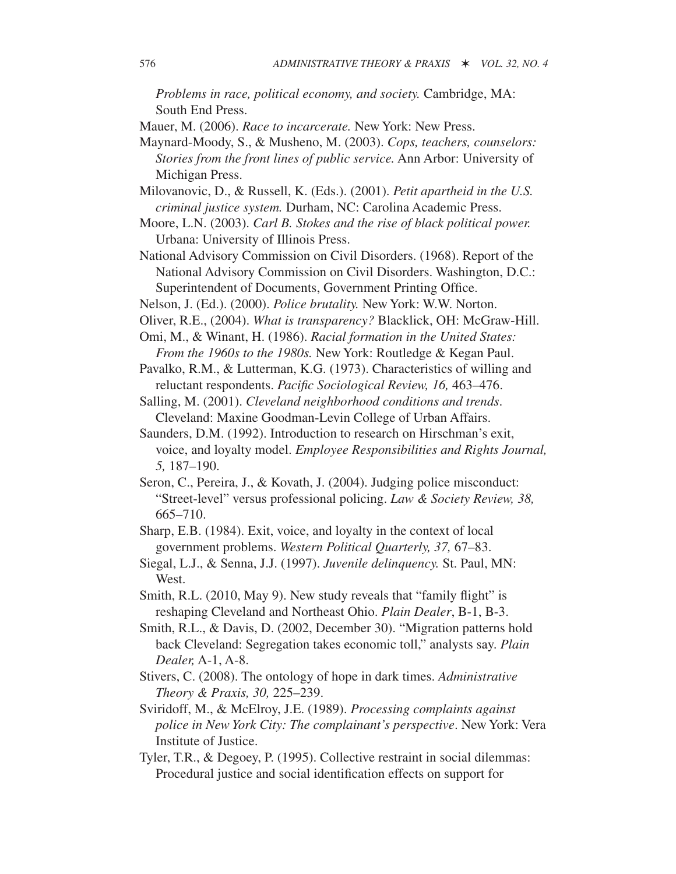*Problems in race, political economy, and society.* Cambridge, MA: South End Press.

- Maynard-Moody, S., & Musheno, M. (2003). *Cops, teachers, counselors: Stories from the front lines of public service.* Ann Arbor: University of Michigan Press.
- Milovanovic, D., & Russell, K. (Eds.). (2001). *Petit apartheid in the U.S. criminal justice system.* Durham, NC: Carolina Academic Press.
- Moore, L.N. (2003). *Carl B. Stokes and the rise of black political power.* Urbana: University of Illinois Press.
- National Advisory Commission on Civil Disorders. (1968). Report of the National Advisory Commission on Civil Disorders. Washington, D.C.: Superintendent of Documents, Government Printing Office.
- Nelson, J. (Ed.). (2000). *Police brutality.* New York: W.W. Norton.
- Oliver, R.E., (2004). *What is transparency?* Blacklick, OH: McGraw-Hill.
- Omi, M., & Winant, H. (1986). *Racial formation in the United States: From the 1960s to the 1980s.* New York: Routledge & Kegan Paul.
- Pavalko, R.M., & Lutterman, K.G. (1973). Characteristics of willing and reluctant respondents. *Pacific Sociological Review, 16,* 463–476.
- Salling, M. (2001). *Cleveland neighborhood conditions and trends*. Cleveland: Maxine Goodman-Levin College of Urban Affairs.
- Saunders, D.M. (1992). Introduction to research on Hirschman's exit, voice, and loyalty model. *Employee Responsibilities and Rights Journal, 5,* 187–190.
- Seron, C., Pereira, J., & Kovath, J. (2004). Judging police misconduct: "Street-level" versus professional policing. *Law & Society Review, 38,*  665–710.
- Sharp, E.B. (1984). Exit, voice, and loyalty in the context of local government problems. *Western Political Quarterly, 37,* 67–83.
- Siegal, L.J., & Senna, J.J. (1997). *Juvenile delinquency.* St. Paul, MN: West.
- Smith, R.L. (2010, May 9). New study reveals that "family flight" is reshaping Cleveland and Northeast Ohio. *Plain Dealer*, B-1, B-3.
- Smith, R.L., & Davis, D. (2002, December 30). "Migration patterns hold back Cleveland: Segregation takes economic toll," analysts say. *Plain Dealer,* A-1, A-8.
- Stivers, C. (2008). The ontology of hope in dark times. *Administrative Theory & Praxis, 30,* 225–239.
- Sviridoff, M., & McElroy, J.E. (1989). *Processing complaints against police in New York City: The complainant's perspective*. New York: Vera Institute of Justice.
- Tyler, T.R., & Degoey, P. (1995). Collective restraint in social dilemmas: Procedural justice and social identification effects on support for

Mauer, M. (2006). *Race to incarcerate.* New York: New Press.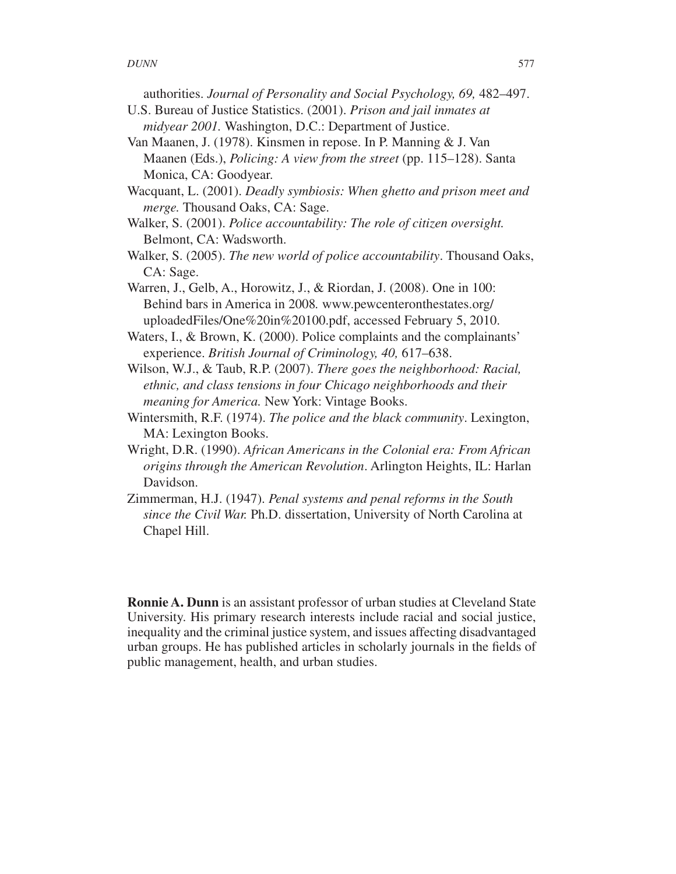authorities. *Journal of Personality and Social Psychology, 69,* 482–497.

- U.S. Bureau of Justice Statistics. (2001). *Prison and jail inmates at midyear 2001.* Washington, D.C.: Department of Justice.
- Van Maanen, J. (1978). Kinsmen in repose. In P. Manning & J. Van Maanen (Eds.), *Policing: A view from the street* (pp. 115–128). Santa Monica, CA: Goodyear.
- Wacquant, L. (2001). *Deadly symbiosis: When ghetto and prison meet and merge.* Thousand Oaks, CA: Sage.
- Walker, S. (2001). *Police accountability: The role of citizen oversight.* Belmont, CA: Wadsworth.
- Walker, S. (2005). *The new world of police accountability*. Thousand Oaks, CA: Sage.
- Warren, J., Gelb, A., Horowitz, J., & Riordan, J. (2008). One in 100: Behind bars in America in 2008*.* www.pewcenteronthestates.org/ uploadedFiles/One%20in%20100.pdf, accessed February 5, 2010.
- Waters, I., & Brown, K. (2000). Police complaints and the complainants' experience. *British Journal of Criminology, 40,* 617–638.
- Wilson, W.J., & Taub, R.P. (2007). *There goes the neighborhood: Racial, ethnic, and class tensions in four Chicago neighborhoods and their meaning for America.* New York: Vintage Books.
- Wintersmith, R.F. (1974). *The police and the black community*. Lexington, MA: Lexington Books.
- Wright, D.R. (1990). *African Americans in the Colonial era: From African origins through the American Revolution*. Arlington Heights, IL: Harlan Davidson.
- Zimmerman, H.J. (1947). *Penal systems and penal reforms in the South since the Civil War.* Ph.D. dissertation, University of North Carolina at Chapel Hill.

**Ronnie A. Dunn** is an assistant professor of urban studies at Cleveland State University. His primary research interests include racial and social justice, inequality and the criminal justice system, and issues affecting disadvantaged urban groups. He has published articles in scholarly journals in the fields of public management, health, and urban studies.